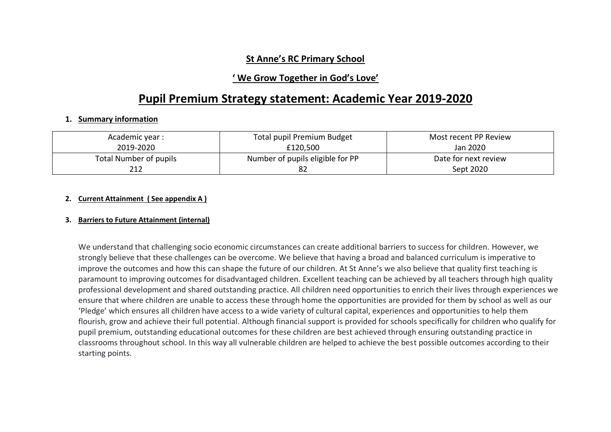## **St Anne's RC Primary School**

## **' We Grow Together in God's Love'**

# **Pupil Premium Strategy statement: Academic Year 2019-2020**

#### **1. Summary information**

| Academic year :        | <b>Total pupil Premium Budget</b> | Most recent PP Review |
|------------------------|-----------------------------------|-----------------------|
| 2019-2020              | £120,500                          | Jan 2020              |
| Total Number of pupils | Number of pupils eligible for PP  | Date for next review  |
| 212                    |                                   | Sept 2020             |

#### **2. Current Attainment ( See appendix A )**

#### **3. Barriers to Future Attainment (internal)**

We understand that challenging socio economic circumstances can create additional barriers to success for children. However, we strongly believe that these challenges can be overcome. We believe that having a broad and balanced curriculum is imperative to improve the outcomes and how this can shape the future of our children. At St Anne's we also believe that quality first teaching is paramount to improving outcomes for disadvantaged children. Excellent teaching can be achieved by all teachers through high quality professional development and shared outstanding practice. All children need opportunities to enrich their lives through experiences we ensure that where children are unable to access these through home the opportunities are provided for them by school as well as our 'Pledge' which ensures all children have access to a wide variety of cultural capital, experiences and opportunities to help them flourish, grow and achieve their full potential. Although financial support is provided for schools specifically for children who qualify for pupil premium, outstanding educational outcomes for these children are best achieved through ensuring outstanding practice in classrooms throughout school. In this way all vulnerable children are helped to achieve the best possible outcomes according to their starting points.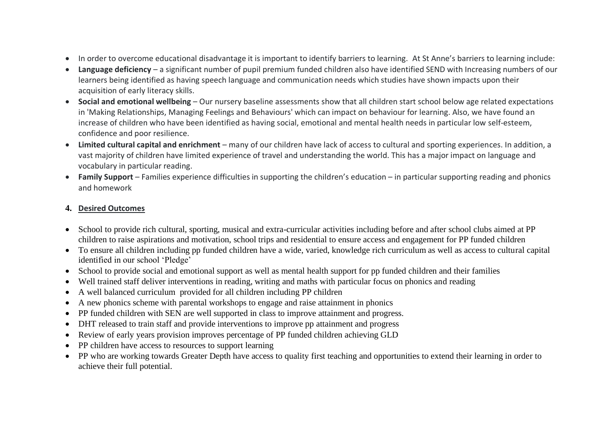- In order to overcome educational disadvantage it is important to identify barriers to learning. At St Anne's barriers to learning include:
- **Language deficiency** a significant number of pupil premium funded children also have identified SEND with Increasing numbers of our learners being identified as having speech language and communication needs which studies have shown impacts upon their acquisition of early literacy skills.
- **Social and emotional wellbeing** Our nursery baseline assessments show that all children start school below age related expectations in 'Making Relationships, Managing Feelings and Behaviours' which can impact on behaviour for learning. Also, we have found an increase of children who have been identified as having social, emotional and mental health needs in particular low self-esteem, confidence and poor resilience.
- **Limited cultural capital and enrichment** many of our children have lack of access to cultural and sporting experiences. In addition, a vast majority of children have limited experience of travel and understanding the world. This has a major impact on language and vocabulary in particular reading.
- **Family Support** Families experience difficulties in supporting the children's education in particular supporting reading and phonics and homework

### **4. Desired Outcomes**

- School to provide rich cultural, sporting, musical and extra-curricular activities including before and after school clubs aimed at PP children to raise aspirations and motivation, school trips and residential to ensure access and engagement for PP funded children
- To ensure all children including pp funded children have a wide, varied, knowledge rich curriculum as well as access to cultural capital identified in our school 'Pledge'
- School to provide social and emotional support as well as mental health support for pp funded children and their families
- Well trained staff deliver interventions in reading, writing and maths with particular focus on phonics and reading
- A well balanced curriculum provided for all children including PP children
- A new phonics scheme with parental workshops to engage and raise attainment in phonics
- PP funded children with SEN are well supported in class to improve attainment and progress.
- DHT released to train staff and provide interventions to improve pp attainment and progress
- Review of early years provision improves percentage of PP funded children achieving GLD
- PP children have access to resources to support learning
- PP who are working towards Greater Depth have access to quality first teaching and opportunities to extend their learning in order to achieve their full potential.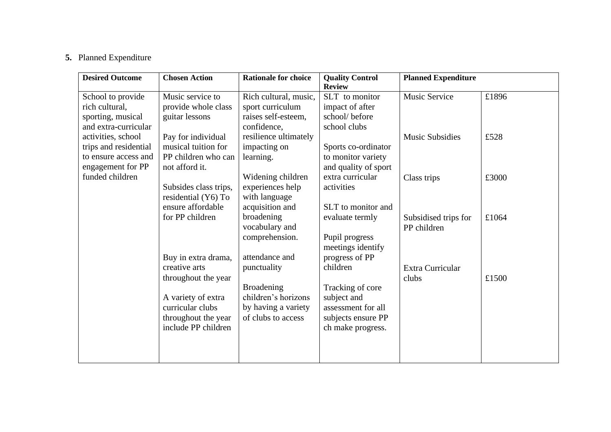# **5.** Planned Expenditure

| <b>Desired Outcome</b> | <b>Chosen Action</b>  | <b>Rationale for choice</b> | <b>Quality Control</b> | <b>Planned Expenditure</b> |       |
|------------------------|-----------------------|-----------------------------|------------------------|----------------------------|-------|
|                        |                       |                             | <b>Review</b>          |                            |       |
| School to provide      | Music service to      | Rich cultural, music,       | SLT to monitor         | <b>Music Service</b>       | £1896 |
| rich cultural,         | provide whole class   | sport curriculum            | impact of after        |                            |       |
| sporting, musical      | guitar lessons        | raises self-esteem,         | school/before          |                            |       |
| and extra-curricular   |                       | confidence.                 | school clubs           |                            |       |
| activities, school     | Pay for individual    | resilience ultimately       |                        | <b>Music Subsidies</b>     | £528  |
| trips and residential  | musical tuition for   | impacting on                | Sports co-ordinator    |                            |       |
| to ensure access and   | PP children who can   | learning.                   | to monitor variety     |                            |       |
| engagement for PP      | not afford it.        |                             | and quality of sport   |                            |       |
| funded children        |                       | Widening children           | extra curricular       | Class trips                | £3000 |
|                        | Subsides class trips, | experiences help            | activities             |                            |       |
|                        | residential (Y6) To   | with language               |                        |                            |       |
|                        | ensure affordable     | acquisition and             | SLT to monitor and     |                            |       |
|                        | for PP children       | broadening                  | evaluate termly        | Subsidised trips for       | £1064 |
|                        |                       | vocabulary and              |                        | PP children                |       |
|                        |                       | comprehension.              | Pupil progress         |                            |       |
|                        |                       |                             | meetings identify      |                            |       |
|                        | Buy in extra drama,   | attendance and              | progress of PP         |                            |       |
|                        | creative arts         | punctuality                 | children               | Extra Curricular           |       |
|                        | throughout the year   |                             |                        | clubs                      | £1500 |
|                        |                       | <b>Broadening</b>           | Tracking of core       |                            |       |
|                        | A variety of extra    | children's horizons         | subject and            |                            |       |
|                        | curricular clubs      | by having a variety         | assessment for all     |                            |       |
|                        | throughout the year   | of clubs to access          | subjects ensure PP     |                            |       |
|                        | include PP children   |                             | ch make progress.      |                            |       |
|                        |                       |                             |                        |                            |       |
|                        |                       |                             |                        |                            |       |
|                        |                       |                             |                        |                            |       |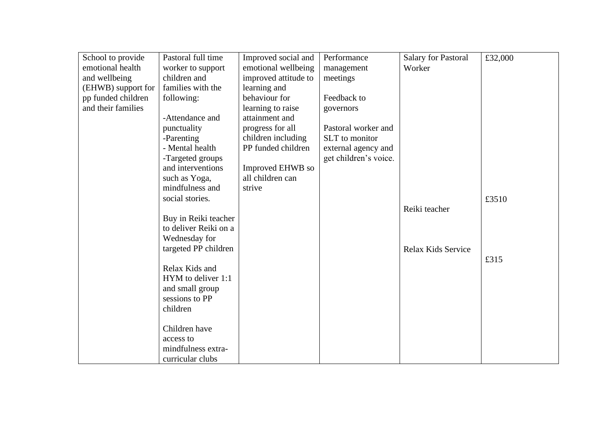| School to provide  | Pastoral full time    | Improved social and  | Performance           | <b>Salary for Pastoral</b> | £32,000 |
|--------------------|-----------------------|----------------------|-----------------------|----------------------------|---------|
| emotional health   | worker to support     | emotional wellbeing  | management            | Worker                     |         |
| and wellbeing      | children and          | improved attitude to | meetings              |                            |         |
| (EHWB) support for | families with the     | learning and         |                       |                            |         |
| pp funded children | following:            | behaviour for        | Feedback to           |                            |         |
| and their families |                       | learning to raise    | governors             |                            |         |
|                    | -Attendance and       | attainment and       |                       |                            |         |
|                    | punctuality           | progress for all     | Pastoral worker and   |                            |         |
|                    | -Parenting            | children including   | SLT to monitor        |                            |         |
|                    | - Mental health       | PP funded children   | external agency and   |                            |         |
|                    | -Targeted groups      |                      | get children's voice. |                            |         |
|                    | and interventions     | Improved EHWB so     |                       |                            |         |
|                    | such as Yoga,         | all children can     |                       |                            |         |
|                    | mindfulness and       | strive               |                       |                            |         |
|                    | social stories.       |                      |                       |                            | £3510   |
|                    |                       |                      |                       | Reiki teacher              |         |
|                    | Buy in Reiki teacher  |                      |                       |                            |         |
|                    | to deliver Reiki on a |                      |                       |                            |         |
|                    | Wednesday for         |                      |                       |                            |         |
|                    | targeted PP children  |                      |                       | Relax Kids Service         |         |
|                    |                       |                      |                       |                            | £315    |
|                    | Relax Kids and        |                      |                       |                            |         |
|                    | HYM to deliver 1:1    |                      |                       |                            |         |
|                    | and small group       |                      |                       |                            |         |
|                    | sessions to PP        |                      |                       |                            |         |
|                    | children              |                      |                       |                            |         |
|                    |                       |                      |                       |                            |         |
|                    | Children have         |                      |                       |                            |         |
|                    | access to             |                      |                       |                            |         |
|                    | mindfulness extra-    |                      |                       |                            |         |
|                    | curricular clubs      |                      |                       |                            |         |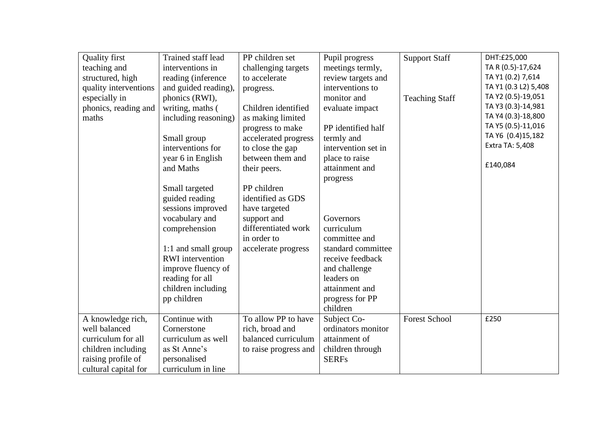| <b>Quality first</b>  | Trained staff lead      | PP children set       | Pupil progress      | <b>Support Staff</b>  | DHT:£25,000          |
|-----------------------|-------------------------|-----------------------|---------------------|-----------------------|----------------------|
|                       | interventions in        |                       |                     |                       | TA R (0.5)-17,624    |
| teaching and          |                         | challenging targets   | meetings termly,    |                       |                      |
| structured, high      | reading (inference      | to accelerate         | review targets and  |                       | TA Y1 (0.2) 7,614    |
| quality interventions | and guided reading),    | progress.             | interventions to    |                       | TA Y1 (0.3 L2) 5,408 |
| especially in         | phonics (RWI),          |                       | monitor and         | <b>Teaching Staff</b> | TA Y2 (0.5)-19,051   |
| phonics, reading and  | writing, maths (        | Children identified   | evaluate impact     |                       | TA Y3 (0.3)-14,981   |
| maths                 | including reasoning)    | as making limited     |                     |                       | TA Y4 (0.3)-18,800   |
|                       |                         | progress to make      | PP identified half  |                       | TA Y5 (0.5)-11,016   |
|                       | Small group             | accelerated progress  | termly and          |                       | TA Y6 (0.4)15,182    |
|                       | interventions for       | to close the gap      | intervention set in |                       | Extra TA: 5,408      |
|                       | year 6 in English       | between them and      | place to raise      |                       |                      |
|                       | and Maths               | their peers.          | attainment and      |                       | £140,084             |
|                       |                         |                       | progress            |                       |                      |
|                       | Small targeted          | PP children           |                     |                       |                      |
|                       | guided reading          | identified as GDS     |                     |                       |                      |
|                       | sessions improved       | have targeted         |                     |                       |                      |
|                       | vocabulary and          | support and           | Governors           |                       |                      |
|                       |                         | differentiated work   |                     |                       |                      |
|                       | comprehension           |                       | curriculum          |                       |                      |
|                       |                         | in order to           | committee and       |                       |                      |
|                       | 1:1 and small group     | accelerate progress   | standard committee  |                       |                      |
|                       | <b>RWI</b> intervention |                       | receive feedback    |                       |                      |
|                       | improve fluency of      |                       | and challenge       |                       |                      |
|                       | reading for all         |                       | leaders on          |                       |                      |
|                       | children including      |                       | attainment and      |                       |                      |
|                       | pp children             |                       | progress for PP     |                       |                      |
|                       |                         |                       | children            |                       |                      |
| A knowledge rich,     | Continue with           | To allow PP to have   | Subject Co-         | <b>Forest School</b>  | £250                 |
| well balanced         | Cornerstone             | rich, broad and       | ordinators monitor  |                       |                      |
| curriculum for all    | curriculum as well      | balanced curriculum   | attainment of       |                       |                      |
| children including    | as St Anne's            | to raise progress and | children through    |                       |                      |
| raising profile of    | personalised            |                       | <b>SERFs</b>        |                       |                      |
| cultural capital for  | curriculum in line      |                       |                     |                       |                      |
|                       |                         |                       |                     |                       |                      |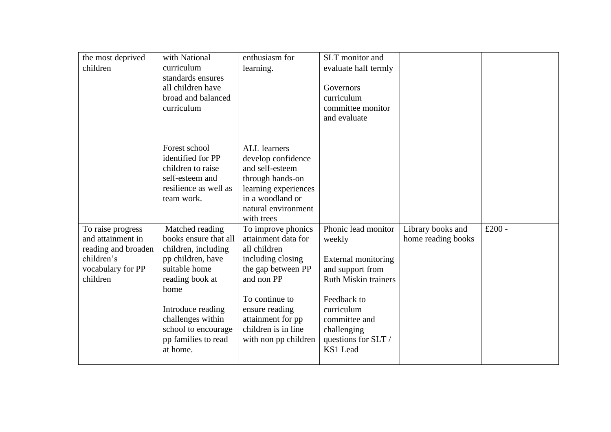| the most deprived   | with National         | enthusiasm for       | SLT monitor and             |                    |           |
|---------------------|-----------------------|----------------------|-----------------------------|--------------------|-----------|
| children            | curriculum            | learning.            | evaluate half termly        |                    |           |
|                     | standards ensures     |                      |                             |                    |           |
|                     | all children have     |                      | Governors                   |                    |           |
|                     | broad and balanced    |                      | curriculum                  |                    |           |
|                     | curriculum            |                      | committee monitor           |                    |           |
|                     |                       |                      | and evaluate                |                    |           |
|                     |                       |                      |                             |                    |           |
|                     |                       |                      |                             |                    |           |
|                     | Forest school         | <b>ALL</b> learners  |                             |                    |           |
|                     | identified for PP     | develop confidence   |                             |                    |           |
|                     | children to raise     | and self-esteem      |                             |                    |           |
|                     | self-esteem and       | through hands-on     |                             |                    |           |
|                     | resilience as well as | learning experiences |                             |                    |           |
|                     | team work.            | in a woodland or     |                             |                    |           |
|                     |                       | natural environment  |                             |                    |           |
|                     |                       | with trees           |                             |                    |           |
| To raise progress   | Matched reading       | To improve phonics   | Phonic lead monitor         | Library books and  | £ $200 -$ |
| and attainment in   | books ensure that all | attainment data for  | weekly                      | home reading books |           |
| reading and broaden | children, including   | all children         |                             |                    |           |
| children's          | pp children, have     | including closing    | External monitoring         |                    |           |
| vocabulary for PP   | suitable home         | the gap between PP   | and support from            |                    |           |
| children            | reading book at       | and non PP           | <b>Ruth Miskin trainers</b> |                    |           |
|                     |                       |                      |                             |                    |           |
|                     | home                  |                      | Feedback to                 |                    |           |
|                     |                       | To continue to       |                             |                    |           |
|                     | Introduce reading     | ensure reading       | curriculum                  |                    |           |
|                     | challenges within     | attainment for pp    | committee and               |                    |           |
|                     | school to encourage   | children is in line  | challenging                 |                    |           |
|                     | pp families to read   | with non pp children | questions for SLT /         |                    |           |
|                     | at home.              |                      | KS1 Lead                    |                    |           |
|                     |                       |                      |                             |                    |           |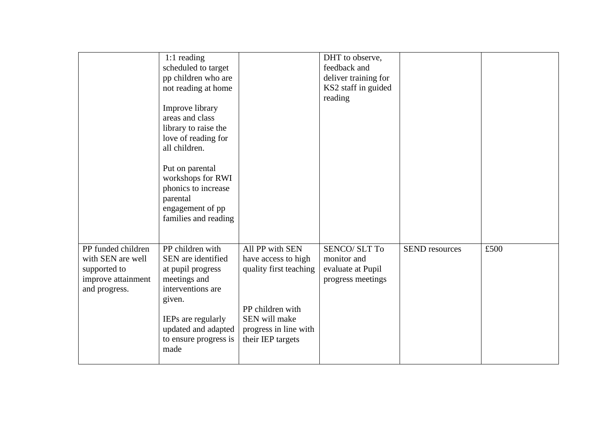|                                                                                                | 1:1 reading<br>scheduled to target<br>pp children who are<br>not reading at home<br>Improve library<br>areas and class<br>library to raise the<br>love of reading for<br>all children.<br>Put on parental<br>workshops for RWI<br>phonics to increase<br>parental<br>engagement of pp<br>families and reading |                                                                                                                                                     | DHT to observe,<br>feedback and<br>deliver training for<br>KS2 staff in guided<br>reading |                       |      |
|------------------------------------------------------------------------------------------------|---------------------------------------------------------------------------------------------------------------------------------------------------------------------------------------------------------------------------------------------------------------------------------------------------------------|-----------------------------------------------------------------------------------------------------------------------------------------------------|-------------------------------------------------------------------------------------------|-----------------------|------|
| PP funded children<br>with SEN are well<br>supported to<br>improve attainment<br>and progress. | PP children with<br>SEN are identified<br>at pupil progress<br>meetings and<br>interventions are<br>given.<br>IEPs are regularly<br>updated and adapted<br>to ensure progress is<br>made                                                                                                                      | All PP with SEN<br>have access to high<br>quality first teaching<br>PP children with<br>SEN will make<br>progress in line with<br>their IEP targets | <b>SENCO/SLT To</b><br>monitor and<br>evaluate at Pupil<br>progress meetings              | <b>SEND</b> resources | £500 |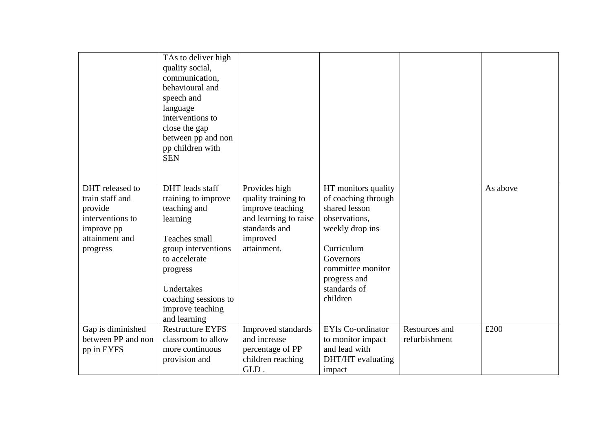|                                                                                                               | TAs to deliver high<br>quality social,<br>communication,<br>behavioural and<br>speech and<br>language<br>interventions to<br>close the gap<br>between pp and non<br>pp children with<br><b>SEN</b>                |                                                                                                                               |                                                                                                                                                                                             |                                |          |
|---------------------------------------------------------------------------------------------------------------|-------------------------------------------------------------------------------------------------------------------------------------------------------------------------------------------------------------------|-------------------------------------------------------------------------------------------------------------------------------|---------------------------------------------------------------------------------------------------------------------------------------------------------------------------------------------|--------------------------------|----------|
|                                                                                                               |                                                                                                                                                                                                                   |                                                                                                                               |                                                                                                                                                                                             |                                |          |
| DHT released to<br>train staff and<br>provide<br>interventions to<br>improve pp<br>attainment and<br>progress | DHT leads staff<br>training to improve<br>teaching and<br>learning<br>Teaches small<br>group interventions<br>to accelerate<br>progress<br>Undertakes<br>coaching sessions to<br>improve teaching<br>and learning | Provides high<br>quality training to<br>improve teaching<br>and learning to raise<br>standards and<br>improved<br>attainment. | HT monitors quality<br>of coaching through<br>shared lesson<br>observations,<br>weekly drop ins<br>Curriculum<br>Governors<br>committee monitor<br>progress and<br>standards of<br>children |                                | As above |
| Gap is diminished<br>between PP and non<br>pp in EYFS                                                         | <b>Restructure EYFS</b><br>classroom to allow<br>more continuous<br>provision and                                                                                                                                 | Improved standards<br>and increase<br>percentage of PP<br>children reaching<br>GLD.                                           | <b>EYfs Co-ordinator</b><br>to monitor impact<br>and lead with<br>DHT/HT evaluating<br>impact                                                                                               | Resources and<br>refurbishment | £200     |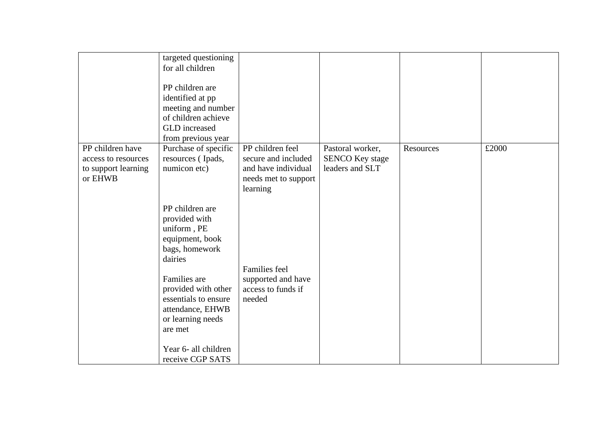|                                                                           | targeted questioning<br>for all children<br>PP children are<br>identified at pp<br>meeting and number<br>of children achieve<br>GLD increased<br>from previous year                                                                                            |                                                                                                    |                                                               |           |       |
|---------------------------------------------------------------------------|----------------------------------------------------------------------------------------------------------------------------------------------------------------------------------------------------------------------------------------------------------------|----------------------------------------------------------------------------------------------------|---------------------------------------------------------------|-----------|-------|
| PP children have<br>access to resources<br>to support learning<br>or EHWB | Purchase of specific<br>resources (Ipads,<br>numicon etc)                                                                                                                                                                                                      | PP children feel<br>secure and included<br>and have individual<br>needs met to support<br>learning | Pastoral worker,<br><b>SENCO Key stage</b><br>leaders and SLT | Resources | £2000 |
|                                                                           | PP children are<br>provided with<br>uniform, PE<br>equipment, book<br>bags, homework<br>dairies<br>Families are<br>provided with other<br>essentials to ensure<br>attendance, EHWB<br>or learning needs<br>are met<br>Year 6- all children<br>receive CGP SATS | Families feel<br>supported and have<br>access to funds if<br>needed                                |                                                               |           |       |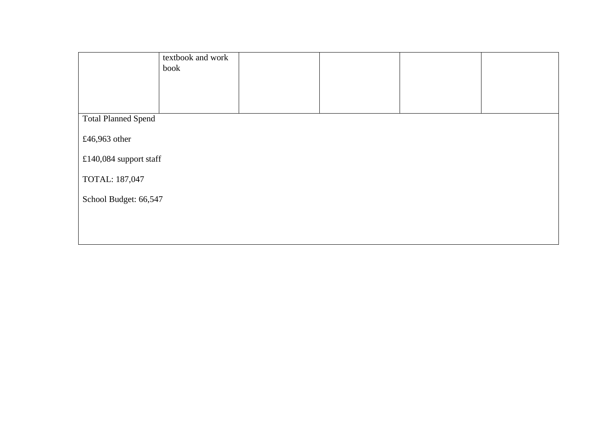|                            | textbook and work<br>book |  |  |  |  |  |
|----------------------------|---------------------------|--|--|--|--|--|
|                            |                           |  |  |  |  |  |
| <b>Total Planned Spend</b> |                           |  |  |  |  |  |
| £46,963 other              |                           |  |  |  |  |  |
| £140,084 support staff     |                           |  |  |  |  |  |
| TOTAL: 187,047             |                           |  |  |  |  |  |
| School Budget: 66,547      |                           |  |  |  |  |  |
|                            |                           |  |  |  |  |  |
|                            |                           |  |  |  |  |  |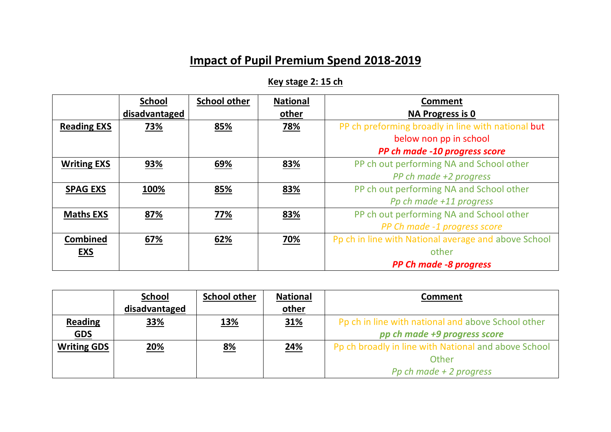# **Impact of Pupil Premium Spend 2018-2019**

**Key stage 2: 15 ch** 

|                    | <b>School</b> | <b>School other</b> | <b>National</b> | <b>Comment</b>                                       |
|--------------------|---------------|---------------------|-----------------|------------------------------------------------------|
|                    | disadvantaged |                     | other           | <b>NA Progress is 0</b>                              |
| <b>Reading EXS</b> | 73%           | 85%                 | 78%             | PP ch preforming broadly in line with national but   |
|                    |               |                     |                 | below non pp in school                               |
|                    |               |                     |                 | PP ch made -10 progress score                        |
| <b>Writing EXS</b> | 93%           | 69%                 | 83%             | PP ch out performing NA and School other             |
|                    |               |                     |                 | PP ch made +2 progress                               |
| <b>SPAG EXS</b>    | 100%          | 85%                 | 83%             | PP ch out performing NA and School other             |
|                    |               |                     |                 | Pp ch made +11 progress                              |
| <b>Maths EXS</b>   | 87%           | 77%                 | 83%             | PP ch out performing NA and School other             |
|                    |               |                     |                 | PP Ch made -1 progress score                         |
| <b>Combined</b>    | 67%           | 62%                 | 70%             | Pp ch in line with National average and above School |
| <b>EXS</b>         |               |                     |                 | other                                                |
|                    |               |                     |                 | <b>PP Ch made -8 progress</b>                        |

|                    | <b>School</b> | <b>School other</b> | <b>National</b> | <b>Comment</b>                                       |
|--------------------|---------------|---------------------|-----------------|------------------------------------------------------|
|                    | disadvantaged |                     | other           |                                                      |
| <b>Reading</b>     | 33%           | <u>13%</u>          | <u>31%</u>      | Pp ch in line with national and above School other   |
| <b>GDS</b>         |               |                     |                 | pp ch made +9 progress score                         |
| <b>Writing GDS</b> | 20%           | <u>8%</u>           | <u>24%</u>      | Pp ch broadly in line with National and above School |
|                    |               |                     |                 | Other                                                |
|                    |               |                     |                 | Pp ch made $+2$ progress                             |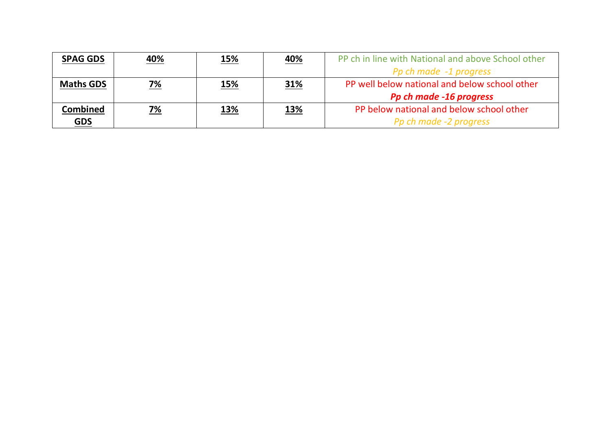| <b>SPAG GDS</b>  | 40%       | <u>15%</u> | <u>40%</u> | PP ch in line with National and above School other |
|------------------|-----------|------------|------------|----------------------------------------------------|
|                  |           |            |            | Pp ch made -1 progress                             |
| <b>Maths GDS</b> | <u>7%</u> | <u>15%</u> | 31%        | PP well below national and below school other      |
|                  |           |            |            | Pp ch made -16 progress                            |
| Combined         | 7%        | <u>13%</u> | <u>13%</u> | PP below national and below school other           |
| <u>GDS</u>       |           |            |            | Pp ch made -2 progress                             |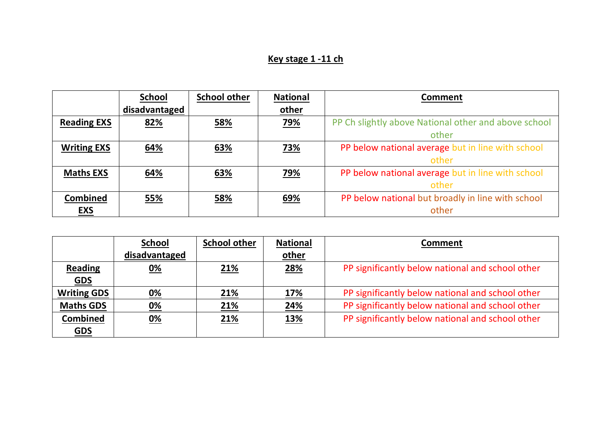# **Key stage 1 -11 ch**

|                    | <b>School</b> | <b>School other</b> | <b>National</b> | <b>Comment</b>                                       |
|--------------------|---------------|---------------------|-----------------|------------------------------------------------------|
|                    | disadvantaged |                     | other           |                                                      |
| <b>Reading EXS</b> | 82%           | 58%                 | 79%             | PP Ch slightly above National other and above school |
|                    |               |                     |                 | other                                                |
| <b>Writing EXS</b> | 64%           | 63%                 | 73%             | PP below national average but in line with school    |
|                    |               |                     |                 | other                                                |
| <b>Maths EXS</b>   | 64%           | 63%                 | 79%             | PP below national average but in line with school    |
|                    |               |                     |                 | other                                                |
| <b>Combined</b>    | 55%           | 58%                 | 69%             | PP below national but broadly in line with school    |
| <b>EXS</b>         |               |                     |                 | other                                                |

|                    | <b>School</b> | <b>School other</b> | <b>National</b> | <b>Comment</b>                                   |
|--------------------|---------------|---------------------|-----------------|--------------------------------------------------|
|                    | disadvantaged |                     | other           |                                                  |
| <b>Reading</b>     | 0%            | 21%                 | 28%             | PP significantly below national and school other |
| <b>GDS</b>         |               |                     |                 |                                                  |
| <b>Writing GDS</b> | <u>0%</u>     | <u>21%</u>          | 17%             | PP significantly below national and school other |
| <b>Maths GDS</b>   | <u>0%</u>     | <u>21%</u>          | 24%             | PP significantly below national and school other |
| <b>Combined</b>    | <u>0%</u>     | <u>21%</u>          | <u>13%</u>      | PP significantly below national and school other |
| <u>GDS</u>         |               |                     |                 |                                                  |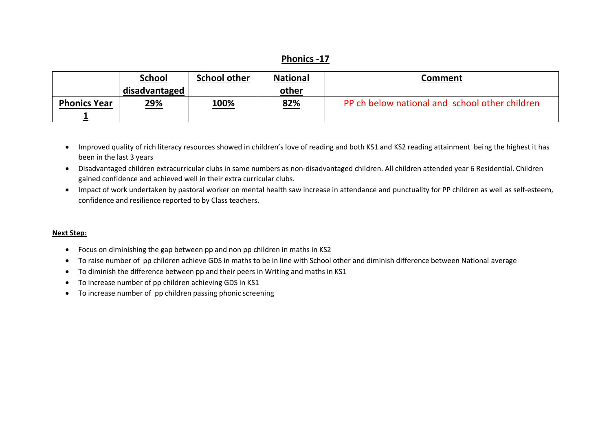## **Phonics -17**

|                     | <b>School</b> | <b>School other</b> | <b>National</b> | Comment                                        |
|---------------------|---------------|---------------------|-----------------|------------------------------------------------|
|                     | disadvantaged |                     | other           |                                                |
| <b>Phonics Year</b> | <u>29%</u>    | <u>100%</u>         | 82%             | PP ch below national and school other children |
|                     |               |                     |                 |                                                |

- Improved quality of rich literacy resources showed in children's love of reading and both KS1 and KS2 reading attainment being the highest it has been in the last 3 years
- Disadvantaged children extracurricular clubs in same numbers as non-disadvantaged children. All children attended year 6 Residential. Children gained confidence and achieved well in their extra curricular clubs.
- Impact of work undertaken by pastoral worker on mental health saw increase in attendance and punctuality for PP children as well as self-esteem, confidence and resilience reported to by Class teachers.

#### **Next Step:**

- Focus on diminishing the gap between pp and non pp children in maths in KS2
- To raise number of pp children achieve GDS in maths to be in line with School other and diminish difference between National average
- To diminish the difference between pp and their peers in Writing and maths in KS1
- To increase number of pp children achieving GDS in KS1
- To increase number of pp children passing phonic screening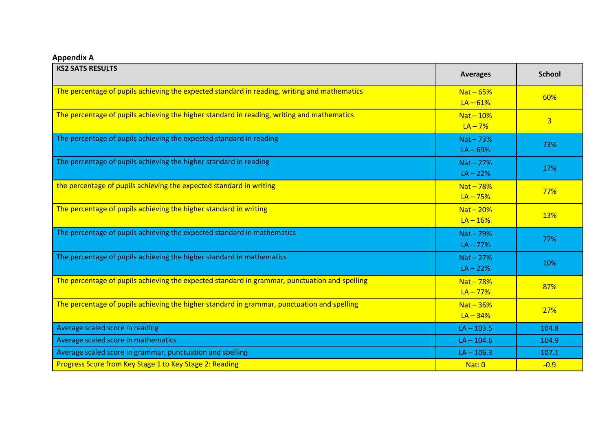**Appendix A**

| <b>KS2 SATS RESULTS</b>                                                                       | <b>Averages</b>           | <b>School</b>  |
|-----------------------------------------------------------------------------------------------|---------------------------|----------------|
| The percentage of pupils achieving the expected standard in reading, writing and mathematics  | $Nat - 65%$<br>$LA - 61%$ | 60%            |
| The percentage of pupils achieving the higher standard in reading, writing and mathematics    | $Nat-10%$<br>$LA - 7%$    | $\overline{3}$ |
| The percentage of pupils achieving the expected standard in reading                           | $Nat-73%$<br>$LA - 69%$   | 73%            |
| The percentage of pupils achieving the higher standard in reading                             | $Nat-27%$<br>$LA - 22%$   | 17%            |
| the percentage of pupils achieving the expected standard in writing                           | $Nat - 78%$<br>$LA - 75%$ | 77%            |
| The percentage of pupils achieving the higher standard in writing                             | $Nat-20%$<br>$LA - 16%$   | <b>13%</b>     |
| The percentage of pupils achieving the expected standard in mathematics                       | $Nat-79%$<br>$LA - 77%$   | 77%            |
| The percentage of pupils achieving the higher standard in mathematics                         | $Nat-27%$<br>$LA - 22%$   | 10%            |
| The percentage of pupils achieving the expected standard in grammar, punctuation and spelling | $Nat - 78%$<br>$LA - 77%$ | 87%            |
| The percentage of pupils achieving the higher standard in grammar, punctuation and spelling   | $Nat-36%$<br>$LA - 34%$   | 27%            |
| Average scaled score in reading                                                               | $LA - 103.5$              | 104.8          |
| Average scaled score in mathematics                                                           | $LA - 104.6$              | 104.9          |
| Average scaled score in grammar, punctuation and spelling                                     | $LA - 106.3$              | 107.1          |
| Progress Score from Key Stage 1 to Key Stage 2: Reading                                       | Nat: 0                    | $-0.9$         |